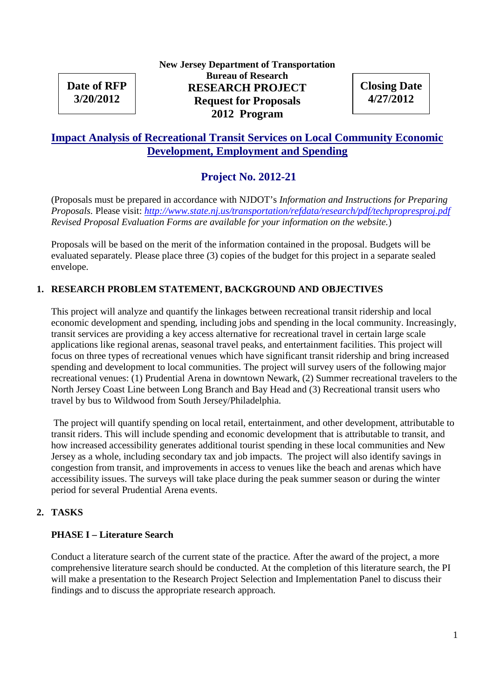# **Date of RFP 3/20/2012**

## **New Jersey Department of Transportation Bureau of Research RESEARCH PROJECT Request for Proposals 2012 Program**

**Closing Date 4/27/2012**

## **Impact Analysis of Recreational Transit Services on Local Community Economic Development, Employment and Spending**

## **Project No. 2012-21**

(Proposals must be prepared in accordance with NJDOT's *Information and Instructions for Preparing Proposals.* Please visit: *http://www.state.nj.us/transportation/refdata/research/pdf/techpropresproj.pdf Revised Proposal Evaluation Forms are available for your information on the website.*)

Proposals will be based on the merit of the information contained in the proposal. Budgets will be evaluated separately. Please place three (3) copies of the budget for this project in a separate sealed envelope.

## **1. RESEARCH PROBLEM STATEMENT, BACKGROUND AND OBJECTIVES**

This project will analyze and quantify the linkages between recreational transit ridership and local economic development and spending, including jobs and spending in the local community. Increasingly, transit services are providing a key access alternative for recreational travel in certain large scale applications like regional arenas, seasonal travel peaks, and entertainment facilities. This project will focus on three types of recreational venues which have significant transit ridership and bring increased spending and development to local communities. The project will survey users of the following major recreational venues: (1) Prudential Arena in downtown Newark, (2) Summer recreational travelers to the North Jersey Coast Line between Long Branch and Bay Head and (3) Recreational transit users who travel by bus to Wildwood from South Jersey/Philadelphia.

The project will quantify spending on local retail, entertainment, and other development, attributable to transit riders. This will include spending and economic development that is attributable to transit, and how increased accessibility generates additional tourist spending in these local communities and New Jersey as a whole, including secondary tax and job impacts. The project will also identify savings in congestion from transit, and improvements in access to venues like the beach and arenas which have accessibility issues. The surveys will take place during the peak summer season or during the winter period for several Prudential Arena events.

## **2. TASKS**

## **PHASE I – Literature Search**

Conduct a literature search of the current state of the practice. After the award of the project, a more comprehensive literature search should be conducted. At the completion of this literature search, the PI will make a presentation to the Research Project Selection and Implementation Panel to discuss their findings and to discuss the appropriate research approach.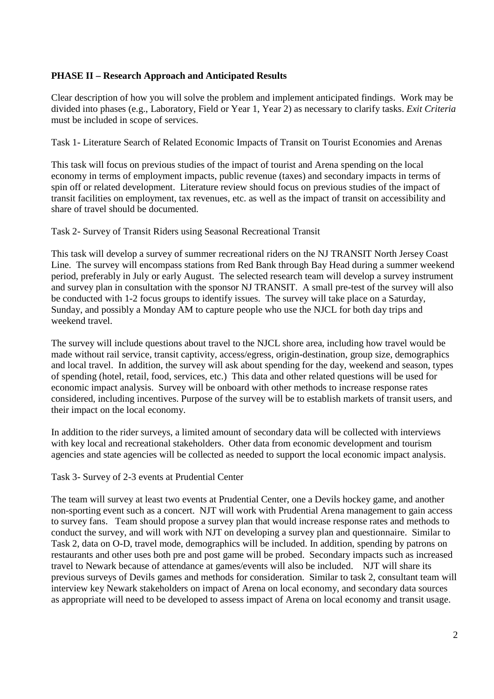## **PHASE II – Research Approach and Anticipated Results**

Clear description of how you will solve the problem and implement anticipated findings. Work may be divided into phases (e.g., Laboratory, Field or Year 1, Year 2) as necessary to clarify tasks. *Exit Criteria* must be included in scope of services.

Task 1- Literature Search of Related Economic Impacts of Transit on Tourist Economies and Arenas

This task will focus on previous studies of the impact of tourist and Arena spending on the local economy in terms of employment impacts, public revenue (taxes) and secondary impacts in terms of spin off or related development. Literature review should focus on previous studies of the impact of transit facilities on employment, tax revenues, etc. as well as the impact of transit on accessibility and share of travel should be documented.

Task 2- Survey of Transit Riders using Seasonal Recreational Transit

This task will develop a survey of summer recreational riders on the NJ TRANSIT North Jersey Coast Line. The survey will encompass stations from Red Bank through Bay Head during a summer weekend period, preferably in July or early August. The selected research team will develop a survey instrument and survey plan in consultation with the sponsor NJ TRANSIT. A small pre-test of the survey will also be conducted with 1-2 focus groups to identify issues. The survey will take place on a Saturday, Sunday, and possibly a Monday AM to capture people who use the NJCL for both day trips and weekend travel.

The survey will include questions about travel to the NJCL shore area, including how travel would be made without rail service, transit captivity, access/egress, origin-destination, group size, demographics and local travel. In addition, the survey will ask about spending for the day, weekend and season, types of spending (hotel, retail, food, services, etc.) This data and other related questions will be used for economic impact analysis. Survey will be onboard with other methods to increase response rates considered, including incentives. Purpose of the survey will be to establish markets of transit users, and their impact on the local economy.

In addition to the rider surveys, a limited amount of secondary data will be collected with interviews with key local and recreational stakeholders. Other data from economic development and tourism agencies and state agencies will be collected as needed to support the local economic impact analysis.

Task 3- Survey of 2-3 events at Prudential Center

The team will survey at least two events at Prudential Center, one a Devils hockey game, and another non-sporting event such as a concert. NJT will work with Prudential Arena management to gain access to survey fans. Team should propose a survey plan that would increase response rates and methods to conduct the survey, and will work with NJT on developing a survey plan and questionnaire. Similar to Task 2, data on O-D, travel mode, demographics will be included. In addition, spending by patrons on restaurants and other uses both pre and post game will be probed. Secondary impacts such as increased travel to Newark because of attendance at games/events will also be included. NJT will share its previous surveys of Devils games and methods for consideration. Similar to task 2, consultant team will interview key Newark stakeholders on impact of Arena on local economy, and secondary data sources as appropriate will need to be developed to assess impact of Arena on local economy and transit usage.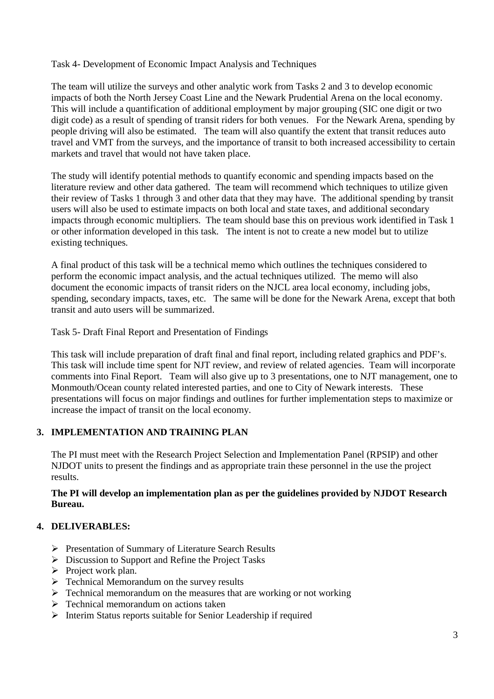#### Task 4- Development of Economic Impact Analysis and Techniques

The team will utilize the surveys and other analytic work from Tasks 2 and 3 to develop economic impacts of both the North Jersey Coast Line and the Newark Prudential Arena on the local economy. This will include a quantification of additional employment by major grouping (SIC one digit or two digit code) as a result of spending of transit riders for both venues. For the Newark Arena, spending by people driving will also be estimated. The team will also quantify the extent that transit reduces auto travel and VMT from the surveys, and the importance of transit to both increased accessibility to certain markets and travel that would not have taken place.

The study will identify potential methods to quantify economic and spending impacts based on the literature review and other data gathered. The team will recommend which techniques to utilize given their review of Tasks 1 through 3 and other data that they may have. The additional spending by transit users will also be used to estimate impacts on both local and state taxes, and additional secondary impacts through economic multipliers. The team should base this on previous work identified in Task 1 or other information developed in this task. The intent is not to create a new model but to utilize existing techniques.

A final product of this task will be a technical memo which outlines the techniques considered to perform the economic impact analysis, and the actual techniques utilized. The memo will also document the economic impacts of transit riders on the NJCL area local economy, including jobs, spending, secondary impacts, taxes, etc. The same will be done for the Newark Arena, except that both transit and auto users will be summarized.

Task 5- Draft Final Report and Presentation of Findings

This task will include preparation of draft final and final report, including related graphics and PDF's. This task will include time spent for NJT review, and review of related agencies. Team will incorporate comments into Final Report. Team will also give up to 3 presentations, one to NJT management, one to Monmouth/Ocean county related interested parties, and one to City of Newark interests. These presentations will focus on major findings and outlines for further implementation steps to maximize or increase the impact of transit on the local economy.

## **3. IMPLEMENTATION AND TRAINING PLAN**

The PI must meet with the Research Project Selection and Implementation Panel (RPSIP) and other NJDOT units to present the findings and as appropriate train these personnel in the use the project results.

#### **The PI will develop an implementation plan as per the guidelines provided by NJDOT Research Bureau.**

## **4. DELIVERABLES:**

- Presentation of Summary of Literature Search Results
- $\triangleright$  Discussion to Support and Refine the Project Tasks
- $\triangleright$  Project work plan.
- $\triangleright$  Technical Memorandum on the survey results
- $\triangleright$  Technical memorandum on the measures that are working or not working
- $\triangleright$  Technical memorandum on actions taken
- Interim Status reports suitable for Senior Leadership if required